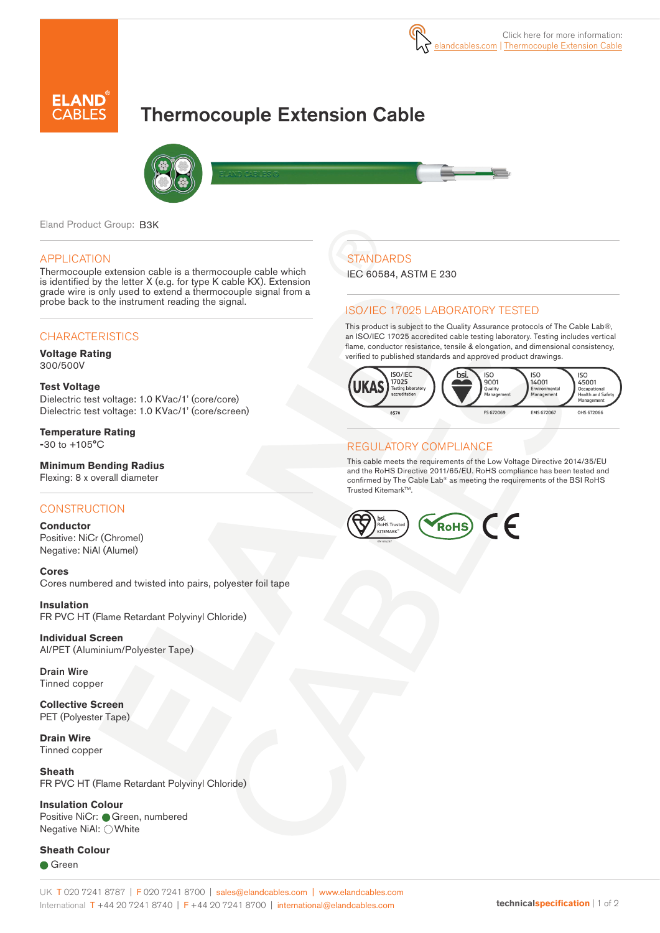

# Thermocouple Extension Cable



Eland Product Group: B3K

#### APPLICATION

Thermocouple extension cable is a thermocouple cable which is identified by the letter X (e.g. for type K cable KX). Extension grade wire is only used to extend a thermocouple signal from a probe back to the instrument reading the signal.

### **CHARACTERISTICS**

**Voltage Rating** 300/500V

#### **Test Voltage**

Dielectric test voltage: 1.0 KVac/1' (core/core) Dielectric test voltage: 1.0 KVac/1' (core/screen)

**Temperature Rating -**30 to +105°C

**Minimum Bending Radius** Flexing: 8 x overall diameter

#### **CONSTRUCTION**

**Conductor** Positive: NiCr (Chromel) Negative: NiAl (Alumel)

**Cores** Cores numbered and twisted into pairs, polyester foil tape

**Insulation** FR PVC HT (Flame Retardant Polyvinyl Chloride)

**Individual Screen** Al/PET (Aluminium/Polyester Tape)

Drain Wire Tinned copper

**Collective Screen** PET (Polyester Tape)

**Drain Wire**  Tinned copper

**Sheath**  FR PVC HT (Flame Retardant Polyvinyl Chloride)

### **Insulation Colour**

Positive NiCr: Green, numbered Negative NiAl: ○ White

**Sheath Colour** 

**Green** 

### UK T 020 7241 8787 | F 020 7241 8700 | sales@elandcables.com | www.elandcables.com International T +44 20 7241 8740 | F +44 20 7241 8700 | international@elandcables.com **technicalspecification** | 1 of 2

# **STANDARDS**

IEC 60584, ASTM E 230

### ISO/IEC 17025 LABORATORY TESTED

This product is subject to the Quality Assurance protocols of The Cable Lab®, an ISO/IEC 17025 accredited cable testing laboratory. Testing includes vertical flame, conductor resistance, tensile & elongation, and dimensional consistency, verified to published standards and approved product drawings.



### REGULATORY COMPLIANCE

This cable meets the requirements of the Low Voltage Directive 2014/35/EU and the RoHS Directive 2011/65/EU. RoHS compliance has been tested and confirmed by The Cable Lab® as meeting the requirements of the BSI RoHS Trusted Kitemark<sup>™</sup>.